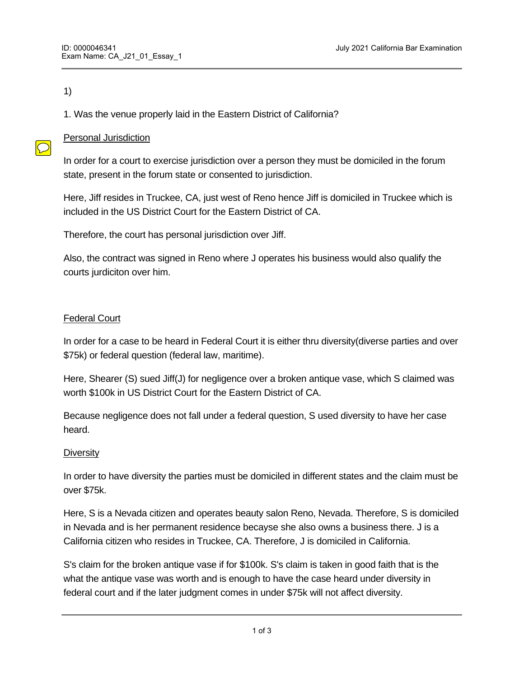## 1)

 $\bigcirc$ 

1. Was the venue properly laid in the Eastern District of California?

# Personal Jurisdiction

In order for a court to exercise jurisdiction over a person they must be domiciled in the forum state, present in the forum state or consented to jurisdiction.

Here, Jiff resides in Truckee, CA, just west of Reno hence Jiff is domiciled in Truckee which is included in the US District Court for the Eastern District of CA.

Therefore, the court has personal jurisdiction over Jiff.

Also, the contract was signed in Reno where J operates his business would also qualify the courts jurdiciton over him.

# Federal Court

In order for a case to be heard in Federal Court it is either thru diversity(diverse parties and over \$75k) or federal question (federal law, maritime).

Here, Shearer (S) sued Jiff(J) for negligence over a broken antique vase, which S claimed was worth \$100k in US District Court for the Eastern District of CA.

Because negligence does not fall under a federal question, S used diversity to have her case heard.

## **Diversity**

In order to have diversity the parties must be domiciled in different states and the claim must be over \$75k.

Here, S is a Nevada citizen and operates beauty salon Reno, Nevada. Therefore, S is domiciled in Nevada and is her permanent residence becayse she also owns a business there. J is a California citizen who resides in Truckee, CA. Therefore, J is domiciled in California.

S's claim for the broken antique vase if for \$100k. S's claim is taken in good faith that is the what the antique vase was worth and is enough to have the case heard under diversity in federal court and if the later judgment comes in under \$75k will not affect diversity.

Therefore, the matter between  $\mathcal{L}_\text{max}$  and  $\mathcal{L}_\text{max}$  and  $\mathcal{L}_\text{max}$  to the US District Court for the US District Court for the US District Court for the US District Court for the US District Court for the US D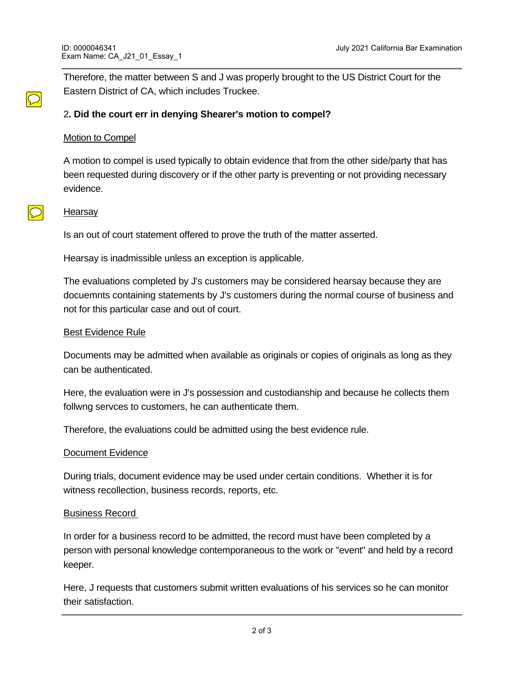Therefore, the matter between S and J was properly brought to the US District Court for the Eastern District of CA, which includes Truckee.

# 2**. Did the court err in denying Shearer's motion to compel?**

#### Motion to Compel

A motion to compel is used typically to obtain evidence that from the other side/party that has been requested during discovery or if the other party is preventing or not providing necessary evidence.

#### **Hearsay**

 $\bigcirc$ 

Is an out of court statement offered to prove the truth of the matter asserted.

Hearsay is inadmissible unless an exception is applicable.

The evaluations completed by J's customers may be considered hearsay because they are docuemnts containing statements by J's customers during the normal course of business and not for this particular case and out of court.

#### Best Evidence Rule

Documents may be admitted when available as originals or copies of originals as long as they can be authenticated.

Here, the evaluation were in J's possession and custodianship and because he collects them follwng servces to customers, he can authenticate them.

Therefore, the evaluations could be admitted using the best evidence rule.

#### Document Evidence

During trials, document evidence may be used under certain conditions. Whether it is for witness recollection, business records, reports, etc.

#### Business Record

In order for a business record to be admitted, the record must have been completed by a person with personal knowledge contemporaneous to the work or "event" and held by a record keeper.

Here, J requests that customers submit written evaluations of his services so he can monitor their satisfaction.